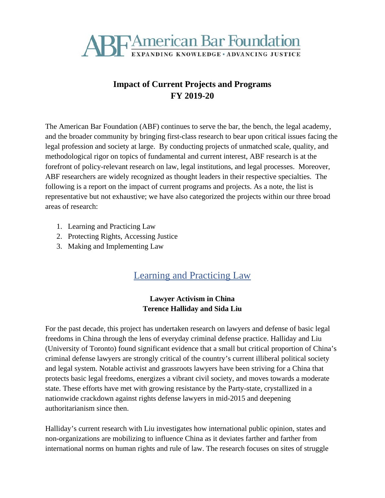

## **Impact of Current Projects and Programs FY 2019-20**

The American Bar Foundation (ABF) continues to serve the bar, the bench, the legal academy, and the broader community by bringing first-class research to bear upon critical issues facing the legal profession and society at large. By conducting projects of unmatched scale, quality, and methodological rigor on topics of fundamental and current interest, ABF research is at the forefront of policy-relevant research on law, legal institutions, and legal processes. Moreover, ABF researchers are widely recognized as thought leaders in their respective specialties. The following is a report on the impact of current programs and projects. As a note, the list is representative but not exhaustive; we have also categorized the projects within our three broad areas of research:

- 1. Learning and Practicing Law
- 2. Protecting Rights, Accessing Justice
- 3. Making and Implementing Law

# Learning and Practicing Law

#### **Lawyer Activism in China Terence Halliday and Sida Liu**

For the past decade, this project has undertaken research on lawyers and defense of basic legal freedoms in China through the lens of everyday criminal defense practice. Halliday and Liu (University of Toronto) found significant evidence that a small but critical proportion of China's criminal defense lawyers are strongly critical of the country's current illiberal political society and legal system. Notable activist and grassroots lawyers have been striving for a China that protects basic legal freedoms, energizes a vibrant civil society, and moves towards a moderate state. These efforts have met with growing resistance by the Party-state, crystallized in a nationwide crackdown against rights defense lawyers in mid-2015 and deepening authoritarianism since then.

Halliday's current research with Liu investigates how international public opinion, states and non-organizations are mobilizing to influence China as it deviates farther and farther from international norms on human rights and rule of law. The research focuses on sites of struggle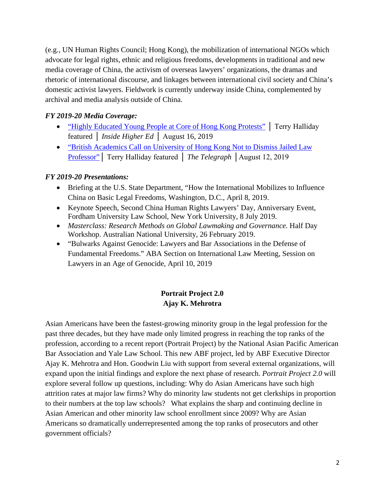(e.g., UN Human Rights Council; Hong Kong), the mobilization of international NGOs which advocate for legal rights, ethnic and religious freedoms, developments in traditional and new media coverage of China, the activism of overseas lawyers' organizations, the dramas and rhetoric of international discourse, and linkages between international civil society and China's domestic activist lawyers. Fieldwork is currently underway inside China, complemented by archival and media analysis outside of China.

#### *FY 2019-20 Media Coverage:*

- ["Highly Educated Young People at Core of Hong Kong Protests"](https://www.insidehighered.com/news/2019/08/16/students-and-university-educated-young-people-play-central-role-hong-kong-protests) | Terry Halliday featured │ *Inside Higher Ed* │ August 16, 2019
- ["British Academics Call on University of Hong Kong Not to Dismiss Jailed Law](https://www.telegraph.co.uk/news/2019/08/12/british-academics-call-university-hong-kong-not-dismiss-jailed/)  [Professor"](https://www.telegraph.co.uk/news/2019/08/12/british-academics-call-university-hong-kong-not-dismiss-jailed/)│ Terry Halliday featured │ *The Telegraph* │August 12, 2019

#### *FY 2019-20 Presentations:*

- Briefing at the U.S. State Department, "How the International Mobilizes to Influence China on Basic Legal Freedoms, Washington, D.C., April 8, 2019.
- Keynote Speech, Second China Human Rights Lawyers' Day, Anniversary Event, Fordham University Law School, New York University, 8 July 2019.
- *Masterclass: Research Methods on Global Lawmaking and Governance.* Half Day Workshop. Australian National University, 26 February 2019.
- "Bulwarks Against Genocide: Lawyers and Bar Associations in the Defense of Fundamental Freedoms." ABA Section on International Law Meeting, Session on Lawyers in an Age of Genocide, April 10, 2019

#### **Portrait Project 2.0 Ajay K. Mehrotra**

Asian Americans have been the fastest-growing minority group in the legal profession for the past three decades, but they have made only limited progress in reaching the top ranks of the profession, according to a recent report (Portrait Project) by the National Asian Pacific American Bar Association and Yale Law School. This new ABF project, led by ABF Executive Director Ajay K. Mehrotra and Hon. Goodwin Liu with support from several external organizations, will expand upon the initial findings and explore the next phase of research. *Portrait Project 2.0* will explore several follow up questions, including: Why do Asian Americans have such high attrition rates at major law firms? Why do minority law students not get clerkships in proportion to their numbers at the top law schools? What explains the sharp and continuing decline in Asian American and other minority law school enrollment since 2009? Why are Asian Americans so dramatically underrepresented among the top ranks of prosecutors and other government officials?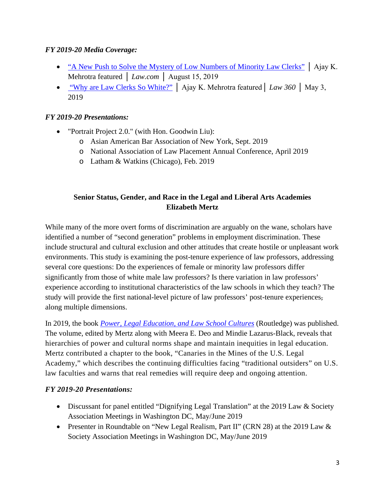#### *FY 2019-20 Media Coverage:*

- ["A New Push to Solve the Mystery of Low Numbers of Minority Law Clerks"](https://www.law.com/nationallawjournal/2019/08/15/a-new-push-to-solve-the-mystery-of-low-numbers-of-minority-law-clerks/?slreturn=20200008154100) | Ajay K. Mehrotra featured │ *Law.com* │ August 15, 2019
- ["Why are Law Clerks So White?"](https://www.law360.com/articles/1156019) │ Ajay K. Mehrotra featured│ *Law 360* │ May 3, 2019

#### *FY 2019-20 Presentations:*

- "Portrait Project 2.0." (with Hon. Goodwin Liu):
	- o Asian American Bar Association of New York, Sept. 2019
	- o National Association of Law Placement Annual Conference, April 2019
	- o Latham & Watkins (Chicago), Feb. 2019

#### **Senior Status, Gender, and Race in the Legal and Liberal Arts Academies Elizabeth Mertz**

While many of the more overt forms of discrimination are arguably on the wane, scholars have identified a number of "second generation" problems in employment discrimination. These include structural and cultural exclusion and other attitudes that create hostile or unpleasant work environments. This study is examining the post-tenure experience of law professors, addressing several core questions: Do the experiences of female or minority law professors differ significantly from those of white male law professors? Is there variation in law professors' experience according to institutional characteristics of the law schools in which they teach? The study will provide the first national-level picture of law professors' post-tenure experiences, along multiple dimensions.

In 2019, the book *[Power, Legal Education, and Law School Cultures](https://www.routledge.com/Power-Legal-Education-and-Law-School-Cultures-1st-Edition/Deo-Lazarus-Black-Mertz/p/book/9780367199401)* (Routledge) was published. The volume, edited by Mertz along with Meera E. Deo and Mindie Lazarus-Black, reveals that hierarchies of power and cultural norms shape and maintain inequities in legal education. Mertz contributed a chapter to the book, "Canaries in the Mines of the U.S. Legal Academy," which describes the continuing difficulties facing "traditional outsiders" on U.S. law faculties and warns that real remedies will require deep and ongoing attention.

- Discussant for panel entitled "Dignifying Legal Translation" at the 2019 Law & Society Association Meetings in Washington DC, May/June 2019
- Presenter in Roundtable on "New Legal Realism, Part II" (CRN 28) at the 2019 Law & Society Association Meetings in Washington DC, May/June 2019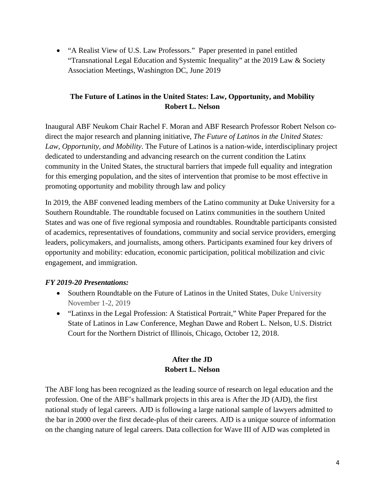• "A Realist View of U.S. Law Professors." Paper presented in panel entitled "Transnational Legal Education and Systemic Inequality" at the 2019 Law & Society Association Meetings, Washington DC, June 2019

#### **The Future of Latinos in the United States: Law, Opportunity, and Mobility Robert L. Nelson**

Inaugural ABF Neukom Chair Rachel F. Moran and ABF Research Professor Robert Nelson codirect the major research and planning initiative, *The Future of Latinos in the United States: Law, Opportunity, and Mobility*. The Future of Latinos is a nation-wide, interdisciplinary project dedicated to understanding and advancing research on the current condition the Latinx community in the United States, the structural barriers that impede full equality and integration for this emerging population, and the sites of intervention that promise to be most effective in promoting opportunity and mobility through law and policy

In 2019, the ABF convened leading members of the Latino community at Duke University for a Southern Roundtable. The roundtable focused on Latinx communities in the southern United States and was one of five regional symposia and roundtables. Roundtable participants consisted of academics, representatives of foundations, community and social service providers, emerging leaders, policymakers, and journalists, among others. Participants examined four key drivers of opportunity and mobility: education, economic participation, political mobilization and civic engagement, and immigration.

#### *FY 2019-20 Presentations:*

- Southern Roundtable on the Future of Latinos in the United States, Duke University November 1-2, 2019
- "Latinxs in the Legal Profession: A Statistical Portrait," White Paper Prepared for the State of Latinos in Law Conference, Meghan Dawe and Robert L. Nelson, U.S. District Court for the Northern District of Illinois, Chicago, October 12, 2018.

#### **After the JD Robert L. Nelson**

The ABF long has been recognized as the leading source of research on legal education and the profession. One of the ABF's hallmark projects in this area is After the JD (AJD), the first national study of legal careers. AJD is following a large national sample of lawyers admitted to the bar in 2000 over the first decade-plus of their careers. AJD is a unique source of information on the changing nature of legal careers. Data collection for Wave III of AJD was completed in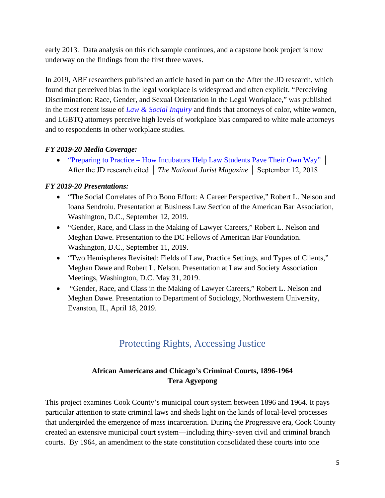early 2013. Data analysis on this rich sample continues, and a capstone book project is now underway on the findings from the first three waves.

In 2019, ABF researchers published an article based in part on the After the JD research, which found that perceived bias in the legal workplace is widespread and often explicit. "Perceiving Discrimination: Race, Gender, and Sexual Orientation in the Legal Workplace," was published in the most recent issue of *Law & Social [Inquiry](https://www.cambridge.org/core/journals/law-and-social-inquiry/article/perceiving-discrimination-race-gender-and-sexual-orientation-in-the-legal-workplace/974BAA3674B938B45316C864D6650D9A)* and finds that attorneys of color, white women, and LGBTQ attorneys perceive high levels of workplace bias compared to white male attorneys and to respondents in other workplace studies.

## *FY 2019-20 Media Coverage:*

• "Preparing to Practice – [How Incubators Help Law Students Pave Their Own Way"](http://www.nationaljurist.com/national-jurist-magazine/preparing-practice-how-incubators-help-law-students-pave-their-own-way) │ After the JD research cited │ *The National Jurist Magazine* │ September 12, 2018

## *FY 2019-20 Presentations:*

- "The Social Correlates of Pro Bono Effort: A Career Perspective," Robert L. Nelson and Ioana Sendroiu. Presentation at Business Law Section of the American Bar Association, Washington, D.C., September 12, 2019.
- "Gender, Race, and Class in the Making of Lawyer Careers," Robert L. Nelson and Meghan Dawe. Presentation to the DC Fellows of American Bar Foundation. Washington, D.C., September 11, 2019.
- "Two Hemispheres Revisited: Fields of Law, Practice Settings, and Types of Clients," Meghan Dawe and Robert L. Nelson. Presentation at Law and Society Association Meetings, Washington, D.C. May 31, 2019.
- "Gender, Race, and Class in the Making of Lawyer Careers," Robert L. Nelson and Meghan Dawe. Presentation to Department of Sociology, Northwestern University, Evanston, IL, April 18, 2019.

# Protecting Rights, Accessing Justice

## **African Americans and Chicago's Criminal Courts, 1896-1964 Tera Agyepong**

This project examines Cook County's municipal court system between 1896 and 1964. It pays particular attention to state criminal laws and sheds light on the kinds of local-level processes that undergirded the emergence of mass incarceration. During the Progressive era, Cook County created an extensive municipal court system—including thirty-seven civil and criminal branch courts. By 1964, an amendment to the state constitution consolidated these courts into one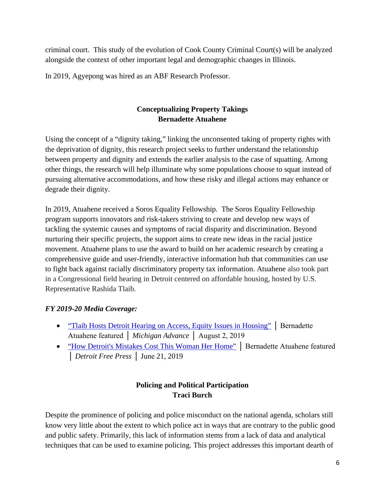criminal court. This study of the evolution of Cook County Criminal Court(s) will be analyzed alongside the context of other important legal and demographic changes in Illinois.

In 2019, Agyepong was hired as an ABF Research Professor.

## **Conceptualizing Property Takings Bernadette Atuahene**

Using the concept of a "dignity taking," linking the unconsented taking of property rights with the deprivation of dignity, this research project seeks to further understand the relationship between property and dignity and extends the earlier analysis to the case of squatting. Among other things, the research will help illuminate why some populations choose to squat instead of pursuing alternative accommodations, and how these risky and illegal actions may enhance or degrade their dignity.

In 2019, Atuahene received a Soros Equality Fellowship. The Soros Equality Fellowship program supports innovators and risk-takers striving to create and develop new ways of tackling the systemic causes and symptoms of racial disparity and discrimination. Beyond nurturing their specific projects, the support aims to create new ideas in the racial justice movement. Atuahene plans to use the award to build on her academic research by creating a comprehensive guide and user-friendly, interactive information hub that communities can use to fight back against racially discriminatory property tax information. Atuahene also took part in a Congressional field hearing in Detroit centered on affordable housing, hosted by U.S. Representative Rashida Tlaib.

#### *FY 2019-20 Media Coverage:*

- ["Tlaib Hosts Detroit Hearing on Access, Equity Issues in Housing"](https://www.michiganadvance.com/2019/08/02/tlaib-hosts-detroit-hearing-on-access-equity-issues-in-housing/) | Bernadette Atuahene featured │ *Michigan Advance* │ August 2, 2019
- ["How Detroit's Mistakes Cost This Woman Her Home"](https://www.freep.com/story/opinion/columnists/nancy-kaffer/2019/06/21/detroit-tax-foreclosure-abuse/1511525001/) │ Bernadette Atuahene featured │ *Detroit Free Press* │ June 21, 2019

#### **Policing and Political Participation Traci Burch**

Despite the prominence of policing and police misconduct on the national agenda, scholars still know very little about the extent to which police act in ways that are contrary to the public good and public safety. Primarily, this lack of information stems from a lack of data and analytical techniques that can be used to examine policing. This project addresses this important dearth of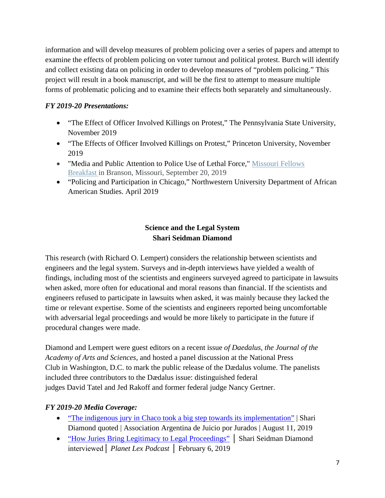information and will develop measures of problem policing over a series of papers and attempt to examine the effects of problem policing on voter turnout and political protest. Burch will identify and collect existing data on policing in order to develop measures of "problem policing." This project will result in a book manuscript, and will be the first to attempt to measure multiple forms of problematic policing and to examine their effects both separately and simultaneously.

#### *FY 2019-20 Presentations:*

- "The Effect of Officer Involved Killings on Protest," The Pennsylvania State University, November 2019
- "The Effects of Officer Involved Killings on Protest," Princeton University, November 2019
- "Media and Public Attention to Police Use of Lethal Force," Missouri Fellows [Breakfast](http://www.americanbarfoundation.org/fellows/events/3833) in Branson, Missouri, September 20, 2019
- "Policing and Participation in Chicago," Northwestern University Department of African American Studies. April 2019

## **Science and the Legal System Shari Seidman Diamond**

This research (with Richard O. Lempert) considers the relationship between scientists and engineers and the legal system. Surveys and in-depth interviews have yielded a wealth of findings, including most of the scientists and engineers surveyed agreed to participate in lawsuits when asked, more often for educational and moral reasons than financial. If the scientists and engineers refused to participate in lawsuits when asked, it was mainly because they lacked the time or relevant expertise. Some of the scientists and engineers reported being uncomfortable with adversarial legal proceedings and would be more likely to participate in the future if procedural changes were made.

Diamond and Lempert were guest editors on a recent issue *of Daedalus, the Journal of the Academy of Arts and Sciences*, and hosted a panel discussion at the National Press Club in Washington, D.C. to mark the public release of the Dædalus volume. The panelists included three contributors to the Dædalus issue: distinguished federal judges David Tatel and Jed Rakoff and former federal judge Nancy Gertner.

#### *FY 2019-20 Media Coverage:*

- ["The indigenous jury in Chaco took a big step towards its implementation"](http://www.juicioporjurados.org/2019/08/chaco-argentina-indigenous-jury-took.html) | Shari Diamond quoted | Association Argentina de Juicio por Jurados | August 11, 2019
- ["How Juries Bring Legitimacy to Legal Proceedings"](https://news.northwestern.edu/stories/2019/02/podcast-how-juries-bring-legitimacy-to-legal-proceedings/) | Shari Seidman Diamond interviewed│ *Planet Lex Podcast* │ February 6, 2019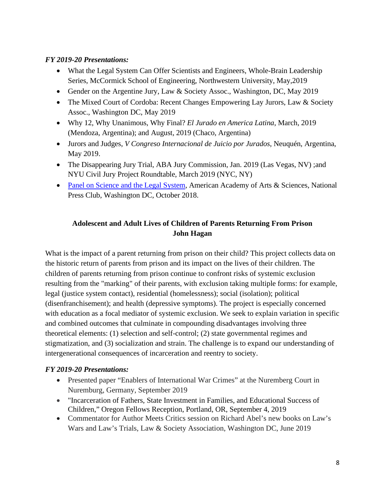#### *FY 2019-20 Presentations:*

- What the Legal System Can Offer Scientists and Engineers, Whole-Brain Leadership Series, McCormick School of Engineering, Northwestern University, May,2019
- Gender on the Argentine Jury, Law & Society Assoc., Washington, DC, May 2019
- The Mixed Court of Cordoba: Recent Changes Empowering Lay Jurors, Law & Society Assoc., Washington DC, May 2019
- Why 12, Why Unanimous, Why Final? *El Jurado en America Latina*, March, 2019 (Mendoza, Argentina); and August, 2019 (Chaco, Argentina)
- Jurors and Judges, *V Congreso Internacional de Juicio por Jurados*, Neuquén, Argentina, May 2019.
- The Disappearing Jury Trial, ABA Jury Commission, Jan. 2019 (Las Vegas, NV); and NYU Civil Jury Project Roundtable, March 2019 (NYC, NY)
- [Panel on Science and the Legal System,](https://www.amacad.org/events/science-legal-system) American Academy of Arts & Sciences, National Press Club, Washington DC, October 2018.

## **Adolescent and Adult Lives of Children of Parents Returning From Prison John Hagan**

What is the impact of a parent returning from prison on their child? This project collects data on the historic return of parents from prison and its impact on the lives of their children. The children of parents returning from prison continue to confront risks of systemic exclusion resulting from the "marking" of their parents, with exclusion taking multiple forms: for example, legal (justice system contact), residential (homelessness); social (isolation); political (disenfranchisement); and health (depressive symptoms). The project is especially concerned with education as a focal mediator of systemic exclusion. We seek to explain variation in specific and combined outcomes that culminate in compounding disadvantages involving three theoretical elements: (1) selection and self-control; (2) state governmental regimes and stigmatization, and (3) socialization and strain. The challenge is to expand our understanding of intergenerational consequences of incarceration and reentry to society.

- Presented paper "Enablers of International War Crimes" at the Nuremberg Court in Nuremburg, Germany, September 2019
- "Incarceration of Fathers, State Investment in Families, and Educational Success of Children," Oregon Fellows Reception, Portland, OR, September 4, 2019
- Commentator for Author Meets Critics session on Richard Abel's new books on Law's Wars and Law's Trials, Law & Society Association, Washington DC, June 2019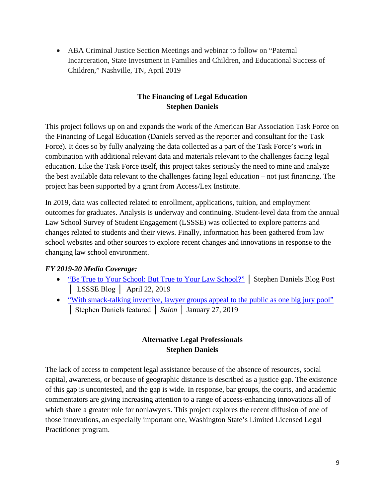• ABA Criminal Justice Section Meetings and webinar to follow on "Paternal" Incarceration, State Investment in Families and Children, and Educational Success of Children," Nashville, TN, April 2019

### **The Financing of Legal Education Stephen Daniels**

This project follows up on and expands the work of the American Bar Association Task Force on the Financing of Legal Education (Daniels served as the reporter and consultant for the Task Force). It does so by fully analyzing the data collected as a part of the Task Force's work in combination with additional relevant data and materials relevant to the challenges facing legal education. Like the Task Force itself, this project takes seriously the need to mine and analyze the best available data relevant to the challenges facing legal education – not just financing. The project has been supported by a grant from Access/Lex Institute.

In 2019, data was collected related to enrollment, applications, tuition, and employment outcomes for graduates. Analysis is underway and continuing. Student-level data from the annual Law School Survey of Student Engagement (LSSSE) was collected to explore patterns and changes related to students and their views. Finally, information has been gathered from law school websites and other sources to explore recent changes and innovations in response to the changing law school environment.

#### *FY 2019-20 Media Coverage:*

- ["Be True to Your School: But True to Your Law School?"](http://lssse.indiana.edu/blog/guest-post-be-true-to-your-school-but-true-to-your-law-school/) | Stephen Daniels Blog Post │ LSSSE Blog │ April 22, 2019
- ["With smack-talking invective, lawyer groups appeal to the public as one big jury pool"](https://www.salon.com/2019/01/27/with-smack-talking-invective-lawyer-groups-appeal-to-the-public-as-one-big-jury-pool_partner/) │ Stephen Daniels featured │ *Salon* │ January 27, 2019

#### **Alternative Legal Professionals Stephen Daniels**

The lack of access to competent legal assistance because of the absence of resources, social capital, awareness, or because of geographic distance is described as a justice gap. The existence of this gap is uncontested, and the gap is wide. In response, bar groups, the courts, and academic commentators are giving increasing attention to a range of access-enhancing innovations all of which share a greater role for nonlawyers. This project explores the recent diffusion of one of those innovations, an especially important one, Washington State's Limited Licensed Legal Practitioner program.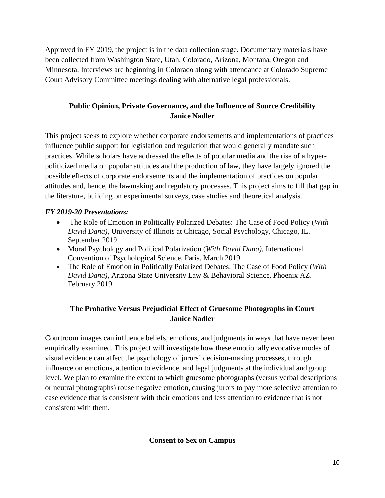Approved in FY 2019, the project is in the data collection stage. Documentary materials have been collected from Washington State, Utah, Colorado, Arizona, Montana, Oregon and Minnesota. Interviews are beginning in Colorado along with attendance at Colorado Supreme Court Advisory Committee meetings dealing with alternative legal professionals.

## **Public Opinion, Private Governance, and the Influence of Source Credibility Janice Nadler**

This project seeks to explore whether corporate endorsements and implementations of practices influence public support for legislation and regulation that would generally mandate such practices. While scholars have addressed the effects of popular media and the rise of a hyperpoliticized media on popular attitudes and the production of law, they have largely ignored the possible effects of corporate endorsements and the implementation of practices on popular attitudes and, hence, the lawmaking and regulatory processes. This project aims to fill that gap in the literature, building on experimental surveys, case studies and theoretical analysis.

#### *FY 2019-20 Presentations:*

- The Role of Emotion in Politically Polarized Debates: The Case of Food Policy (*With David Dana)*, University of Illinois at Chicago, Social Psychology, Chicago, IL. September 2019
- Moral Psychology and Political Polarization (*With David Dana)*, International Convention of Psychological Science, Paris. March 2019
- The Role of Emotion in Politically Polarized Debates: The Case of Food Policy (*With David Dana)*, Arizona State University Law & Behavioral Science, Phoenix AZ. February 2019.

## **The Probative Versus Prejudicial Effect of Gruesome Photographs in Court Janice Nadler**

Courtroom images can influence beliefs, emotions, and judgments in ways that have never been empirically examined. This project will investigate how these emotionally evocative modes of visual evidence can affect the psychology of jurors' decision-making processes, through influence on emotions, attention to evidence, and legal judgments at the individual and group level. We plan to examine the extent to which gruesome photographs (versus verbal descriptions or neutral photographs) rouse negative emotion, causing jurors to pay more selective attention to case evidence that is consistent with their emotions and less attention to evidence that is not consistent with them.

**Consent to Sex on Campus**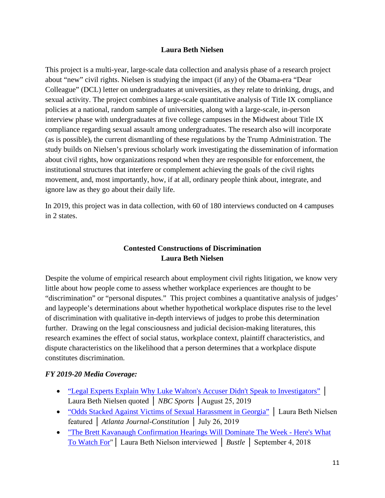#### **Laura Beth Nielsen**

This project is a multi-year, large-scale data collection and analysis phase of a research project about "new" civil rights. Nielsen is studying the impact (if any) of the Obama-era "Dear Colleague" (DCL) letter on undergraduates at universities, as they relate to drinking, drugs, and sexual activity. The project combines a large-scale quantitative analysis of Title IX compliance policies at a national, random sample of universities, along with a large-scale, in-person interview phase with undergraduates at five college campuses in the Midwest about Title IX compliance regarding sexual assault among undergraduates. The research also will incorporate (as is possible), the current dismantling of these regulations by the Trump Administration. The study builds on Nielsen's previous scholarly work investigating the dissemination of information about civil rights, how organizations respond when they are responsible for enforcement, the institutional structures that interfere or complement achieving the goals of the civil rights movement, and, most importantly, how, if at all, ordinary people think about, integrate, and ignore law as they go about their daily life.

In 2019, this project was in data collection, with 60 of 180 interviews conducted on 4 campuses in 2 states.

#### **Contested Constructions of Discrimination Laura Beth Nielsen**

Despite the volume of empirical research about employment civil rights litigation, we know very little about how people come to assess whether workplace experiences are thought to be "discrimination" or "personal disputes." This project combines a quantitative analysis of judges' and laypeople's determinations about whether hypothetical workplace disputes rise to the level of discrimination with qualitative in-depth interviews of judges to probe this determination further. Drawing on the legal consciousness and judicial decision-making literatures, this research examines the effect of social status, workplace context, plaintiff characteristics, and dispute characteristics on the likelihood that a person determines that a workplace dispute constitutes discrimination.

#### *FY 2019-20 Media Coverage:*

- ["Legal Experts Explain Why Luke Walton's Accuser Didn't Speak to Investigators"](https://www.nbcsports.com/bayarea/kings/legal-experts-explain-why-luke-waltons-accuser-didnt-speak-investigators) │ Laura Beth Nielsen quoted │ *NBC Sports* │August 25, 2019
- ["Odds Stacked Against Victims of Sexual Harassment in Georgia"](https://www.ajc.com/news/crime--law/odds-stacked-against-victims-sexual-harassment-georgia/kB0P68Kcst9ZchnM6FlLyM/) │ Laura Beth Nielsen featured │ *Atlanta Journal-Constitution* │ July 26, 2019
- ["The Brett Kavanaugh Confirmation Hearings Will Dominate The Week -](https://www.bustle.com/p/the-brett-kavanaugh-confirmation-hearings-will-dominate-the-week-heres-what-to-watch-for-10237675) Here's What [To Watch For"](https://www.bustle.com/p/the-brett-kavanaugh-confirmation-hearings-will-dominate-the-week-heres-what-to-watch-for-10237675)│ Laura Beth Nielson interviewed │ *Bustle* │ September 4, 2018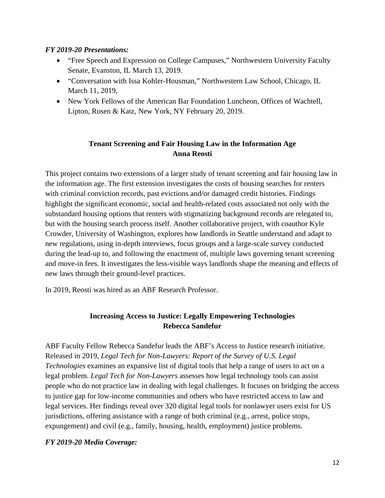#### *FY 2019-20 Presentations:*

- "Free Speech and Expression on College Campuses," Northwestern University Faculty Senate, Evanston, IL March 13, 2019.
- "Conversation with Issa Kohler-Housman," Northwestern Law School, Chicago, IL March 11, 2019,
- New York Fellows of the American Bar Foundation Luncheon, Offices of Wachtell, Lipton, Rosen & Katz, New York, NY February 20, 2019.

#### **Tenant Screening and Fair Housing Law in the Information Age Anna Reosti**

This project contains two extensions of a larger study of tenant screening and fair housing law in the information age. The first extension investigates the costs of housing searches for renters with criminal conviction records, past evictions and/or damaged credit histories. Findings highlight the significant economic, social and health-related costs associated not only with the substandard housing options that renters with stigmatizing background records are relegated to, but with the housing search process itself. Another collaborative project, with coauthor Kyle Crowder, University of Washington, explores how landlords in Seattle understand and adapt to new regulations, using in-depth interviews, focus groups and a large-scale survey conducted during the lead-up to, and following the enactment of, multiple laws governing tenant screening and move-in fees. It investigates the less-visible ways landlords shape the meaning and effects of new laws through their ground-level practices.

In 2019, Reosti was hired as an ABF Research Professor.

#### **Increasing Access to Justice: Legally Empowering Technologies Rebecca Sandefur**

ABF Faculty Fellow Rebecca Sandefur leads the ABF's Access to Justice research initiative. Released in 2019, *Legal Tech for Non-Lawyers: Report of the Survey of U.S. Legal Technologies* examines an expansive list of digital tools that help a range of users to act on a legal problem. *Legal Tech for Non-Lawyers* assesses how legal technology tools can assist people who do not practice law in dealing with legal challenges. It focuses on bridging the access to justice gap for low-income communities and others who have restricted access to law and legal services. Her findings reveal over 320 digital legal tools for nonlawyer users exist for US jurisdictions, offering assistance with a range of both criminal (e.g., arrest, police stops, expungement) and civil (e.g., family, housing, health, employment) justice problems.

#### *FY 2019-20 Media Coverage:*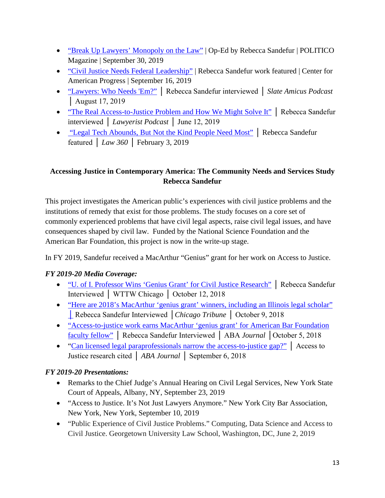- ["Break Up Lawyers' Monopoly on the Law"](https://www.politico.com/interactives/2019/how-to-fix-politics-in-america/participation/break-up-lawyers-monopoly-on-law/) | Op-Ed by Rebecca Sandefur | POLITICO Magazine | September 30, 2019
- ["Civil Justice Needs Federal Leadership"](https://www.americanprogress.org/issues/democracy/reports/2019/09/16/474354/civil-justice-needs-federal-leadership/) | Rebecca Sandefur work featured | Center for American Progress | September 16, 2019
- ["Lawyers: Who Needs 'Em?"](https://slate.com/podcasts/amicus/2019/08/amicus-talks-to-rebecca-sandefur-on-the-civil-legal-system-inequality-access-to-justice-and-whether-lawyers-are-always-the-answer) │ Rebecca Sandefur interviewed │ *Slate Amicus Podcast* │ August 17, 2019
- ["The Real Access-to-Justice Problem and How We Might Solve It"](https://legaltalknetwork.com/podcasts/lawyerist-podcast/2019/06/228-the-real-access-to-justice-problem-and-how-we-might-solve-it-with-rebecca-sandefur/) │ Rebecca Sandefur interviewed │ *Lawyerist Podcast* │ June 12, 2019
- ["Legal Tech Abounds, But Not the Kind People Need Most"](https://www.law360.com/articles/1123860/legal-tech-abounds-but-not-the-kind-people-need-most) | Rebecca Sandefur featured │ *Law 360* │ February 3, 2019

## **Accessing Justice in Contemporary America: The Community Needs and Services Study Rebecca Sandefur**

This project investigates the American public's experiences with civil justice problems and the institutions of remedy that exist for those problems. The study focuses on a core set of commonly experienced problems that have civil legal aspects, raise civil legal issues, and have consequences shaped by civil law. Funded by the National Science Foundation and the American Bar Foundation, this project is now in the write-up stage.

In FY 2019, Sandefur received a MacArthur "Genius" grant for her work on Access to Justice.

## *FY 2019-20 Media Coverage:*

- ["U. of I. Professor Wins 'Genius Grant' for Civil Justice Research"](https://news.wttw.com/2018/10/11/u-i-professor-wins-genius-grant-civil-justice-research) │ Rebecca Sandefur Interviewed │ WTTW Chicago │ October 12, 2018
- "Here are 2018's MacArthur 'genius grant' winners, including an Illinois legal scholar" [│](https://www.chicagotribune.com/entertainment/ct-ent-macarthur-genius-grant-winners-1005-story.html) Rebecca Sandefur Interviewed │*Chicago Tribune* │ October 9, 2018
- ["Access-to-justice work earns MacArthur 'genius grant' for American Bar Foundation](http://www.abajournal.com/news/article/american_bar_foundation_faculty_fellow_legal_luminaries_win_macarthur_fello)  [faculty fellow"](http://www.abajournal.com/news/article/american_bar_foundation_faculty_fellow_legal_luminaries_win_macarthur_fello) │ Rebecca Sandefur Interviewed │ ABA *Journal* │October 5, 2018
- ["Can licensed legal paraprofessionals narrow the access-to-justice gap?"](http://www.abajournal.com/news/article/can_licensed_legal_paraprofessionals_narrow_the_access_to_justice_gap) │ Access to Justice research cited │ *ABA Journal* │ September 6, 2018

- Remarks to the Chief Judge's Annual Hearing on Civil Legal Services, New York State Court of Appeals, Albany, NY, September 23, 2019
- "Access to Justice. It's Not Just Lawyers Anymore." New York City Bar Association, New York, New York, September 10, 2019
- "Public Experience of Civil Justice Problems." Computing, Data Science and Access to Civil Justice. Georgetown University Law School, Washington, DC, June 2, 2019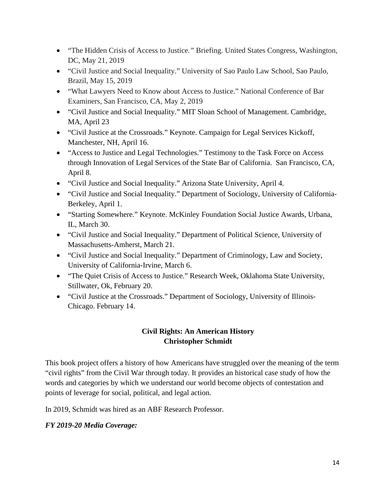- "The Hidden Crisis of Access to Justice*."* Briefing. United States Congress, Washington, DC, May 21, 2019
- "Civil Justice and Social Inequality." University of Sao Paulo Law School, Sao Paulo, Brazil, May 15, 2019
- "What Lawyers Need to Know about Access to Justice." National Conference of Bar Examiners, San Francisco, CA, May 2, 2019
- "Civil Justice and Social Inequality." MIT Sloan School of Management. Cambridge, MA, April 23
- "Civil Justice at the Crossroads." Keynote. Campaign for Legal Services Kickoff, Manchester, NH, April 16.
- "Access to Justice and Legal Technologies." Testimony to the Task Force on Access through Innovation of Legal Services of the State Bar of California. San Francisco, CA, April 8.
- "Civil Justice and Social Inequality." Arizona State University, April 4.
- "Civil Justice and Social Inequality." Department of Sociology, University of California-Berkeley, April 1.
- "Starting Somewhere." Keynote. McKinley Foundation Social Justice Awards, Urbana, IL, March 30.
- "Civil Justice and Social Inequality." Department of Political Science, University of Massachusetts-Amherst, March 21.
- "Civil Justice and Social Inequality." Department of Criminology, Law and Society, University of California-Irvine, March 6.
- "The Quiet Crisis of Access to Justice." Research Week, Oklahoma State University, Stillwater, Ok, February 20.
- "Civil Justice at the Crossroads." Department of Sociology, University of Illinois-Chicago. February 14.

#### **Civil Rights: An American History Christopher Schmidt**

This book project offers a history of how Americans have struggled over the meaning of the term "civil rights" from the Civil War through today. It provides an historical case study of how the words and categories by which we understand our world become objects of contestation and points of leverage for social, political, and legal action.

In 2019, Schmidt was hired as an ABF Research Professor.

#### *FY 2019-20 Media Coverage:*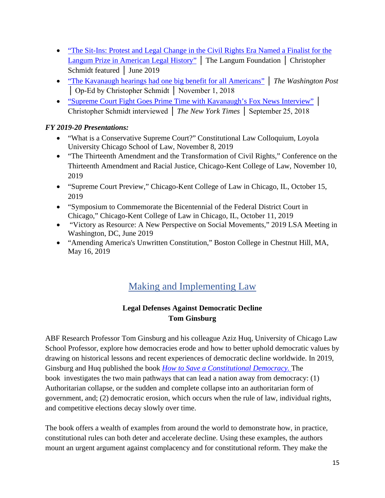- "The Sit-Ins: Protest and Legal Change in the Civil Rights Era Named a Finalist for the [Langum Prize in American Legal History"](https://langumfoundation.org/winners/current-winners-american-legal-history/) │ The Langum Foundation │ Christopher Schmidt featured │ June 2019
- ["The Kavanaugh hearings had one big benefit for all Americans"](https://www.washingtonpost.com/outlook/2018/11/01/kavanaugh-hearings-had-one-big-benefit-all-americans/) │ *The Washington Post* │ Op-Ed by Christopher Schmidt │ November 1, 2018
- ["Supreme Court Fight Goes Prime Time with Kavanaugh's Fox News Interview"](https://www.nytimes.com/2018/09/24/business/media/brett-kavanaugh-fox-news-interview.html) │ Christopher Schmidt interviewed │ *The New York Times* │ September 25, 2018

### *FY 2019-20 Presentations:*

- "What is a Conservative Supreme Court?" Constitutional Law Colloquium, Loyola University Chicago School of Law, November 8, 2019
- "The Thirteenth Amendment and the Transformation of Civil Rights," Conference on the Thirteenth Amendment and Racial Justice, Chicago-Kent College of Law, November 10, 2019
- "Supreme Court Preview," Chicago-Kent College of Law in Chicago, IL, October 15, 2019
- "Symposium to Commemorate the Bicentennial of the Federal District Court in Chicago," Chicago-Kent College of Law in Chicago, IL, October 11, 2019
- "Victory as Resource: A New Perspective on Social Movements," 2019 LSA Meeting in Washington, DC, June 2019
- "Amending America's Unwritten Constitution," Boston College in Chestnut Hill, MA, May 16, 2019

# Making and Implementing Law

## **Legal Defenses Against Democratic Decline Tom Ginsburg**

ABF Research Professor Tom Ginsburg and his colleague Aziz Huq, University of Chicago Law School Professor, explore how democracies erode and how to better uphold democratic values by drawing on historical lessons and recent experiences of democratic decline worldwide. In 2019, Ginsburg and Huq published the book *How to Save a [Constitutional](https://www.press.uchicago.edu/ucp/books/book/chicago/H/bo28381225.html) Democracy.* The book investigates the two main pathways that can lead a nation away from democracy: (1) Authoritarian collapse, or the sudden and complete collapse into an authoritarian form of government, and; (2) democratic erosion, which occurs when the rule of law, individual rights, and competitive elections decay slowly over time.

The book offers a wealth of examples from around the world to demonstrate how, in practice, constitutional rules can both deter and accelerate decline. Using these examples, the authors mount an urgent argument against complacency and for constitutional reform. They make the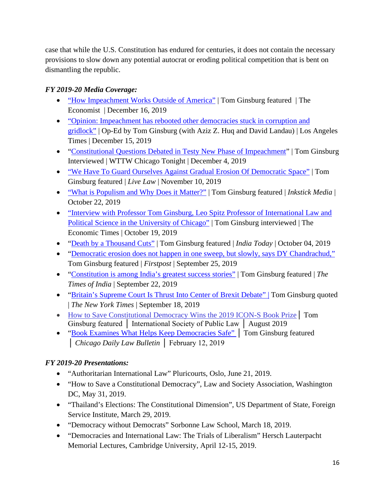case that while the U.S. Constitution has endured for centuries, it does not contain the necessary provisions to slow down any potential autocrat or eroding political competition that is bent on dismantling the republic.

## *FY 2019-20 Media Coverage:*

- ["How Impeachment Works Outside of America"](https://www.economist.com/united-states/2019/12/16/how-impeachment-works-outside-america) | Tom Ginsburg featured | The Economist | December 16, 2019
- "Opinion: Impeachment has rebooted other democracies stuck in corruption and [gridlock"](https://www.latimes.com/opinion/story/2019-12-15/impeachment-democracy-presidents-donald-trump) | Op-Ed by Tom Ginsburg (with Aziz Z. Huq and David Landau) | Los Angeles Times | December 15, 2019
- ["Constitutional Questions Debated in Testy New Phase of Impeachment"](https://news.wttw.com/2019/12/04/constitutional-questions-debated-testy-new-phase-impeachment) | Tom Ginsburg Interviewed | WTTW Chicago Tonight | December 4, 2019
- ["We Have To Guard Ourselves Against Gradual Erosion Of Democratic Space"](https://www.livelaw.in/top-stories/erosion-of-democratic-space-justice-chandrachud-with-sr-adv-datar-prof-ginsburg-149662) | Tom Ginsburg featured | *Live Law* | November 10, 2019
- ["What is Populism and Why Does it Matter?"](https://inkstickmedia.com/what-is-populism-and-why-does-it-matter/) | Tom Ginsburg featured | *Inkstick Media* | October 22, 2019
- ["Interview with Professor Tom Ginsburg, Leo Spitz Professor of International Law and](https://economictimes.indiatimes.com/blogs/courts-commerce-and-the-constitution/interview-with-professor-tom-ginsburg-leo-spitz-professor-of-international-law-and-political-science-in-the-university-of-chicago/)  [Political Science in the University of Chicago"](https://economictimes.indiatimes.com/blogs/courts-commerce-and-the-constitution/interview-with-professor-tom-ginsburg-leo-spitz-professor-of-international-law-and-political-science-in-the-university-of-chicago/) | Tom Ginsburg interviewed | The Economic Times | October 19, 2019
- ["Death by a Thousand Cuts"](https://www.indiatoday.in/magazine/up-front/story/20191014-death-by-a-thousand-cuts-1605948-2019-10-04) | Tom Ginsburg featured | *India Today* | October 04, 2019
- ["Democratic erosion does not happen in one sweep, but slowly, says DY Chandrachud,"](https://www.firstpost.com/india/democratic-erosion-does-not-happen-in-one-sweep-but-slowly-says-dy-chandrachud-sc-judge-bats-for-independence-of-judiciary-transfer-of-judges-7400721.html) Tom Ginsburg featured | *Firstpost* | September 25, 2019
- ["Constitution is among India's greatest success stories"](https://timesofindia.indiatimes.com/city/ahmedabad/constitution-is-among-indias-greatest-success-stories/articleshow/71250004.cms) | Tom Ginsburg featured | *The Times of India* | September 22, 2019
- ["Britain's Supreme Court Is Thrust Into Center of Brexit Debate" |](https://www.nytimes.com/2019/09/18/world/europe/britain-supreme-court-proroguing-parliament.html) Tom Ginsburg quoted | *The New York Times* | September 18, 2019
- [How to Save Constitutional Democracy Wins the 2019 ICON-S Book Prize](https://www.icon-society.org/book-prize/) | Tom Ginsburg featured | International Society of Public Law | August 2019
- ["Book Examines What Helps Keep Democracies Safe"](https://www.chicagolawbulletin.com/book-examines-what-helps-keep-democracies-safe-20190219) | Tom Ginsburg featured │ *Chicago Daily Law Bulletin* │ February 12, 2019

- "Authoritarian International Law" Pluricourts, Oslo, June 21, 2019.
- "How to Save a Constitutional Democracy", Law and Society Association, Washington DC, May 31, 2019.
- "Thailand's Elections: The Constitutional Dimension", US Department of State, Foreign Service Institute, March 29, 2019.
- "Democracy without Democrats" Sorbonne Law School, March 18, 2019.
- "Democracies and International Law: The Trials of Liberalism" Hersch Lauterpacht Memorial Lectures, Cambridge University, April 12-15, 2019.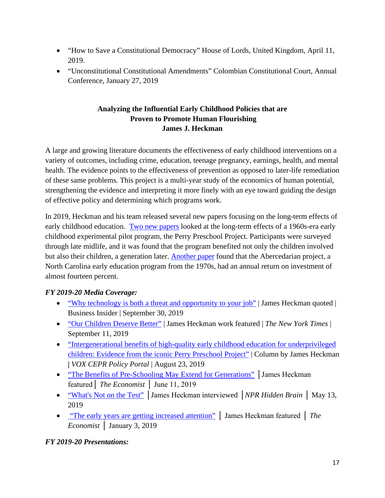- "How to Save a Constitutional Democracy" House of Lords, United Kingdom, April 11, 2019.
- "Unconstitutional Constitutional Amendments" Colombian Constitutional Court, Annual Conference, January 27, 2019

#### **Analyzing the Influential Early Childhood Policies that are Proven to Promote Human Flourishing James J. Heckman**

A large and growing literature documents the effectiveness of early childhood interventions on a variety of outcomes, including crime, education, teenage pregnancy, earnings, health, and mental health. The evidence points to the effectiveness of prevention as opposed to later-life remediation of these same problems. This project is a multi-year study of the economics of human potential, strengthening the evidence and interpreting it more finely with an eye toward guiding the design of effective policy and determining which programs work.

In 2019, Heckman and his team released several new papers focusing on the long-term effects of early childhood education. [Two new papers](https://cehd.uchicago.edu/?page_id=276/#ieppp) looked at the long-term effects of a 1960s-era early childhood experimental pilot program, the Perry Preschool Project. Participants were surveyed through late midlife, and it was found that the program benefited not only the children involved but also their children, a generation later. [Another paper](https://cehd.uchicago.edu/?page_id=276#abccba) found that the Abercedarian project, a North Carolina early education program from the 1970s, had an annual return on investment of almost fourteen percent.

#### *FY 2019-20 Media Coverage:*

- ["Why technology is both a threat and opportunity to your job"](https://www.businessinsider.com/sc/is-technology-threatening-to-workers-2019-9) | James Heckman quoted | Business Insider | September 30, 2019
- ["Our Children Deserve Better"](https://www.nytimes.com/2019/09/11/opinion/child-poverty-democratic-debate.html) | James Heckman work featured | *The New York Times* | September 11, 2019
- "Intergenerational benefits of high-quality early childhood education for underprivileged [children: Evidence from the iconic Perry Preschool Project"](https://voxeu.org/article/intergenerational-benefits-high-quality-early-childhood-education-underprivileged-children) | Column by James Heckman **|** *VOX CEPR Policy Portal* | August 23, 2019
- ["The Benefits of Pre-Schooling May Extend for Generations"](https://www.economist.com/democracy-in-america/2019/06/11/the-benefits-of-pre-schooling-may-extend-for-generations) | James Heckman featured│ *The Economist* │ June 11, 2019
- ["What's Not on the Test"](https://www.npr.org/2019/05/09/721733303/whats-not-on-the-test-the-overlooked-factors-that-determine-success) │James Heckman interviewed │*NPR Hidden Brain* │ May 13, 2019
- ["The early years are getting increased attention"](https://www.economist.com/special-report/2019/01/03/the-early-years-are-getting-increasing-attention) │ James Heckman featured │ *The Economist* │ January 3, 2019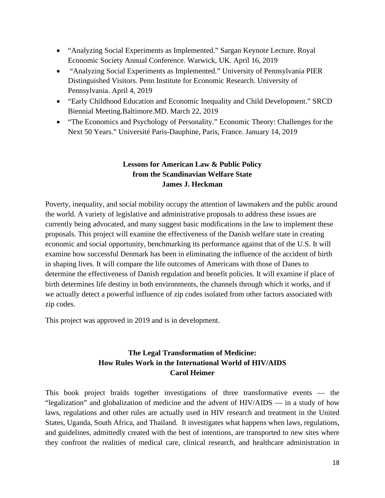- "Analyzing Social Experiments as Implemented." Sargan Keynote Lecture. Royal Economic Society Annual Conference. Warwick, UK. April 16, 2019
- "Analyzing Social Experiments as Implemented." University of Pennsylvania PIER Distinguished Visitors. Penn Institute for Economic Research. University of Pennsylvania. April 4, 2019
- "Early Childhood Education and Economic Inequality and Child Development." SRCD Biennial Meeting.Baltimore.MD. March 22, 2019
- "The Economics and Psychology of Personality." Economic Theory: Challenges for the Next 50 Years." Université Paris-Dauphine, Paris, France. January 14, 2019

#### **Lessons for American Law & Public Policy from the Scandinavian Welfare State James J. Heckman**

Poverty, inequality, and social mobility occupy the attention of lawmakers and the public around the world. A variety of legislative and administrative proposals to address these issues are currently being advocated, and many suggest basic modifications in the law to implement these proposals. This project will examine the effectiveness of the Danish welfare state in creating economic and social opportunity, benchmarking its performance against that of the U.S. It will examine how successful Denmark has been in eliminating the influence of the accident of birth in shaping lives. It will compare the life outcomes of Americans with those of Danes to determine the effectiveness of Danish regulation and benefit policies. It will examine if place of birth determines life destiny in both environments, the channels through which it works, and if we actually detect a powerful influence of zip codes isolated from other factors associated with zip codes.

This project was approved in 2019 and is in development.

## **The Legal Transformation of Medicine: How Rules Work in the International World of HIV/AIDS Carol Heimer**

This book project braids together investigations of three transformative events — the "legalization" and globalization of medicine and the advent of HIV/AIDS — in a study of how laws, regulations and other rules are actually used in HIV research and treatment in the United States, Uganda, South Africa, and Thailand. It investigates what happens when laws, regulations, and guidelines, admittedly created with the best of intentions, are transported to new sites where they confront the realities of medical care, clinical research, and healthcare administration in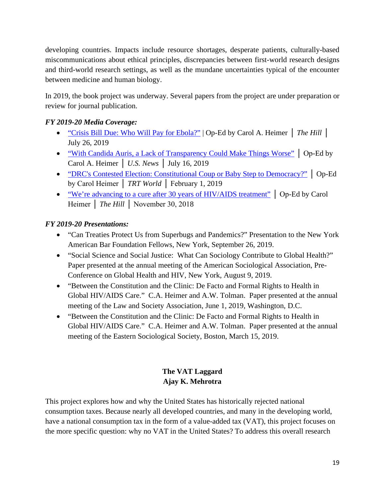developing countries. Impacts include resource shortages, desperate patients, culturally-based miscommunications about ethical principles, discrepancies between first-world research designs and third-world research settings, as well as the mundane uncertainties typical of the encounter between medicine and human biology.

In 2019, the book project was underway. Several papers from the project are under preparation or review for journal publication.

## *FY 2019-20 Media Coverage:*

- ["Crisis Bill Due: Who Will Pay for Ebola?"](https://thehill.com/opinion/healthcare/454786-crisis-bill-due-who-will-pay-for-ebola) | Op-Ed by Carol A. Heimer │ *The Hill* │ July 26, 2019
- ["With Candida Auris, a Lack of Transparency Could Make Things Worse"](https://www.usnews.com/news/best-countries/articles/2019-07-16/commentary-with-candida-auris-worry-about-transparency-not-infection) │ Op-Ed by Carol A. Heimer │ *U.S. News* │ July 16, 2019
- ["DRC's Contested Election: Constitutional Coup or Baby Step to Democracy?"](https://www.trtworld.com/opinion/drc-s-contested-election-constitutional-coup-or-baby-step-to-democracy-23793) | Op-Ed by Carol Heimer │ *TRT World* │ February 1, 2019
- ["We're advancing to a cure after 30 years of HIV/AIDS treatment"](https://thehill.com/opinion/healthcare/419073-were-advancing-to-a-cure-after-30-years-of-hiv-aids-treatment) | Op-Ed by Carol Heimer │ *The Hill* │ November 30, 2018

## *FY 2019-20 Presentations:*

- "Can Treaties Protect Us from Superbugs and Pandemics?" Presentation to the New York American Bar Foundation Fellows, New York, September 26, 2019.
- "Social Science and Social Justice: What Can Sociology Contribute to Global Health?" Paper presented at the annual meeting of the American Sociological Association, Pre-Conference on Global Health and HIV, New York, August 9, 2019.
- "Between the Constitution and the Clinic: De Facto and Formal Rights to Health in Global HIV/AIDS Care." C.A. Heimer and A.W. Tolman. Paper presented at the annual meeting of the Law and Society Association, June 1, 2019, Washington, D.C.
- "Between the Constitution and the Clinic: De Facto and Formal Rights to Health in Global HIV/AIDS Care." C.A. Heimer and A.W. Tolman. Paper presented at the annual meeting of the Eastern Sociological Society, Boston, March 15, 2019.

## **The VAT Laggard Ajay K. Mehrotra**

This project explores how and why the United States has historically rejected national consumption taxes. Because nearly all developed countries, and many in the developing world, have a national consumption tax in the form of a value-added tax (VAT), this project focuses on the more specific question: why no VAT in the United States? To address this overall research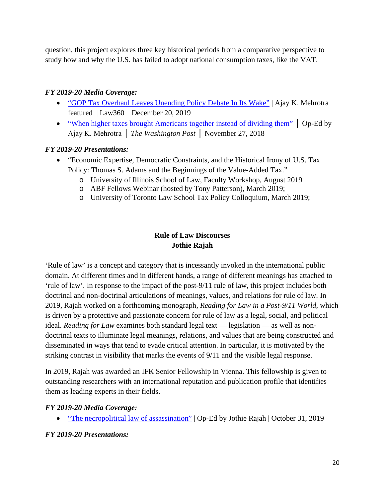question, this project explores three key historical periods from a comparative perspective to study how and why the U.S. has failed to adopt national consumption taxes, like the VAT.

#### *FY 2019-20 Media Coverage:*

- ["GOP Tax Overhaul Leaves Unending Policy Debate In Its Wake"](https://www.law360.com/tax-authority/articles/1229281/gop-tax-overhaul-leaves-unending-policy-debate-in-its-wake) | Ajay K. Mehrotra featured | Law360 | December 20, 2019
- ["When higher taxes brought Americans together instead of dividing them"](https://www.washingtonpost.com/outlook/2018/11/27/when-higher-taxes-brought-americans-together-instead-dividing-them/) | Op-Ed by Ajay K. Mehrotra │ *The Washington Post* │ November 27, 2018

#### *FY 2019-20 Presentations:*

- "Economic Expertise, Democratic Constraints, and the Historical Irony of U.S. Tax Policy: Thomas S. Adams and the Beginnings of the Value-Added Tax."
	- o University of Illinois School of Law, Faculty Workshop, August 2019
	- o ABF Fellows Webinar (hosted by Tony Patterson), March 2019;
	- o University of Toronto Law School Tax Policy Colloquium, March 2019;

## **Rule of Law Discourses Jothie Rajah**

'Rule of law' is a concept and category that is incessantly invoked in the international public domain. At different times and in different hands, a range of different meanings has attached to 'rule of law'. In response to the impact of the post-9/11 rule of law, this project includes both doctrinal and non-doctrinal articulations of meanings, values, and relations for rule of law. In 2019, Rajah worked on a forthcoming monograph, *Reading for Law in a Post-9/11 World*, which is driven by a protective and passionate concern for rule of law as a legal, social, and political ideal. *Reading for Law* examines both standard legal text — legislation — as well as nondoctrinal texts to illuminate legal meanings, relations, and values that are being constructed and disseminated in ways that tend to evade critical attention. In particular, it is motivated by the striking contrast in visibility that marks the events of 9/11 and the visible legal response.

In 2019, Rajah was awarded an IFK Senior Fellowship in Vienna. This fellowship is given to outstanding researchers with an international reputation and publication profile that identifies them as leading experts in their fields.

#### *FY 2019-20 Media Coverage:*

• ["The necropolitical law of assassination"](https://tif.ssrc.org/2019/10/31/the-necropolitical-law-of-assassination/) | Op-Ed by Jothie Rajah | October 31, 2019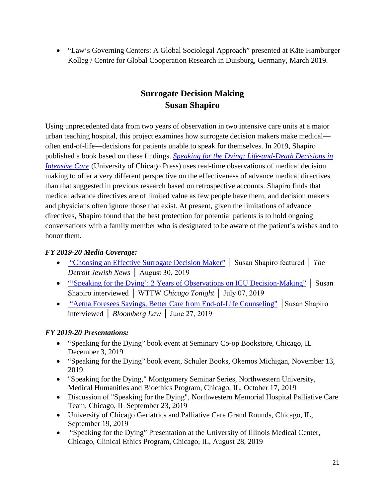• "Law's Governing Centers: A Global Sociolegal Approach" presented at Käte Hamburger Kolleg / Centre for Global Cooperation Research in Duisburg, Germany, March 2019.

## **Surrogate Decision Making Susan Shapiro**

Using unprecedented data from two years of observation in two intensive care units at a major urban teaching hospital, this project examines how surrogate decision makers make medical often end-of-life—decisions for patients unable to speak for themselves. In 2019, Shapiro published a book based on these findings. *[Speaking for the Dying: Life-and-Death Decisions in](https://press.uchicago.edu/ucp/books/book/chicago/S/bo38181601.html)  [Intensive Care](https://press.uchicago.edu/ucp/books/book/chicago/S/bo38181601.html)* (University of Chicago Press) uses real-time observations of medical decision making to offer a very different perspective on the effectiveness of advance medical directives than that suggested in previous research based on retrospective accounts. Shapiro finds that medical advance directives are of limited value as few people have them, and decision makers and physicians often ignore those that exist. At present, given the limitations of advance directives, Shapiro found that the best protection for potential patients is to hold ongoing conversations with a family member who is designated to be aware of the patient's wishes and to honor them.

#### *FY 2019-20 Media Coverage:*

- ["Choosing an Effective Surrogate Decision Maker"](https://thejewishnews.com/2019/08/30/choosing-an-effective-surrogate-decision-maker/) │ Susan Shapiro featured │ *The Detroit Jewish News* │ August 30, 2019
- "Speaking for the Dying': 2 Years of Observations on ICU Decision-Making" | Susan Shapiro interviewed │ WTTW *Chicago Tonight* │ July 07, 2019
- ["Aetna Foresees Savings, Better Care from End-of-Life Counseling"](https://news.bloomberglaw.com/health-law-and-business/aetna-foresees-savings-better-care-from-end-of-life-counseling-1) │Susan Shapiro interviewed │ *Bloomberg Law* │ June 27, 2019

- "Speaking for the Dying" book event at Seminary Co-op Bookstore, Chicago, IL December 3, 2019
- "Speaking for the Dying" book event, Schuler Books, Okemos Michigan, November 13, 2019
- "Speaking for the Dying," Montgomery Seminar Series, Northwestern University, Medical Humanities and Bioethics Program, Chicago, IL, October 17, 2019
- Discussion of "Speaking for the Dying", Northwestern Memorial Hospital Palliative Care Team, Chicago, IL September 23, 2019
- University of Chicago Geriatrics and Palliative Care Grand Rounds, Chicago, IL, September 19, 2019
- "Speaking for the Dying" Presentation at the University of Illinois Medical Center, Chicago, Clinical Ethics Program, Chicago, IL, August 28, 2019